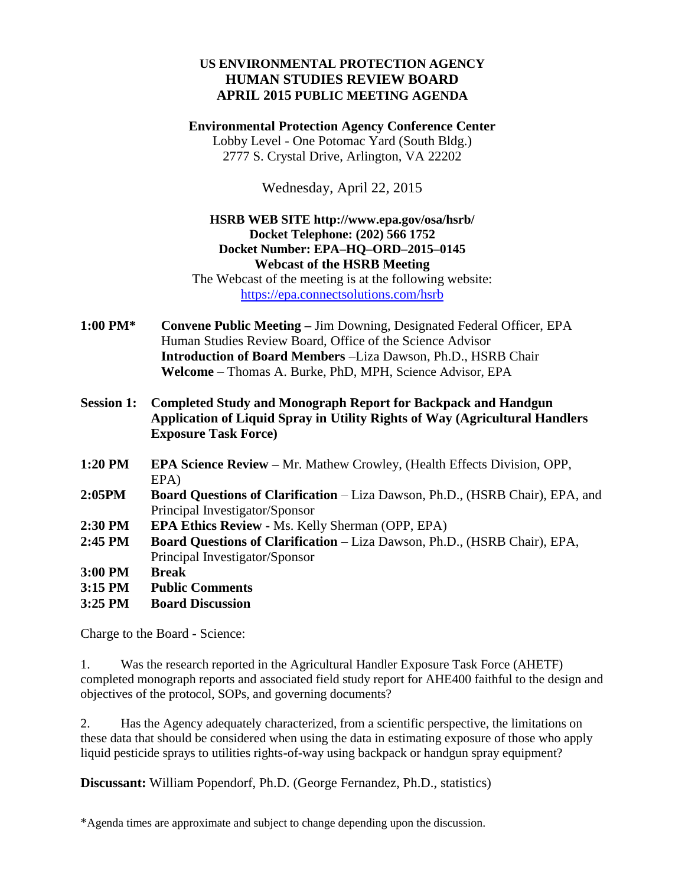## **US ENVIRONMENTAL PROTECTION AGENCY HUMAN STUDIES REVIEW BOARD APRIL 2015 PUBLIC MEETING AGENDA**

**Environmental Protection Agency Conference Center** Lobby Level - One Potomac Yard (South Bldg.) 2777 S. Crystal Drive, Arlington, VA 22202

Wednesday, April 22, 2015

## **HSRB WEB SITE http://www.epa.gov/osa/hsrb/ Docket Telephone: (202) 566 1752 Docket Number: EPA–HQ–ORD–2015–0145 Webcast of the HSRB Meeting**

The Webcast of the meeting is at the following website: <https://epa.connectsolutions.com/hsrb>

- **1:00 PM\* Convene Public Meeting –** Jim Downing, Designated Federal Officer, EPA Human Studies Review Board, Office of the Science Advisor **Introduction of Board Members** –Liza Dawson, Ph.D., HSRB Chair **Welcome** – Thomas A. Burke, PhD, MPH, Science Advisor, EPA
- **Session 1: Completed Study and Monograph Report for Backpack and Handgun Application of Liquid Spray in Utility Rights of Way (Agricultural Handlers Exposure Task Force)**
- **1:20 PM EPA Science Review –** Mr. Mathew Crowley, (Health Effects Division, OPP, EPA)
- **2:05PM Board Questions of Clarification**  Liza Dawson, Ph.D., (HSRB Chair), EPA, and Principal Investigator/Sponsor
- **2:30 PM EPA Ethics Review -** Ms. Kelly Sherman (OPP, EPA)
- **2:45 PM Board Questions of Clarification**  Liza Dawson, Ph.D., (HSRB Chair), EPA, Principal Investigator/Sponsor
- **3:00 PM Break**
- **3:15 PM Public Comments**
- **3:25 PM Board Discussion**

Charge to the Board - Science:

1. Was the research reported in the Agricultural Handler Exposure Task Force (AHETF) completed monograph reports and associated field study report for AHE400 faithful to the design and objectives of the protocol, SOPs, and governing documents?

2. Has the Agency adequately characterized, from a scientific perspective, the limitations on these data that should be considered when using the data in estimating exposure of those who apply liquid pesticide sprays to utilities rights-of-way using backpack or handgun spray equipment?

**Discussant:** William Popendorf, Ph.D. (George Fernandez, Ph.D., statistics)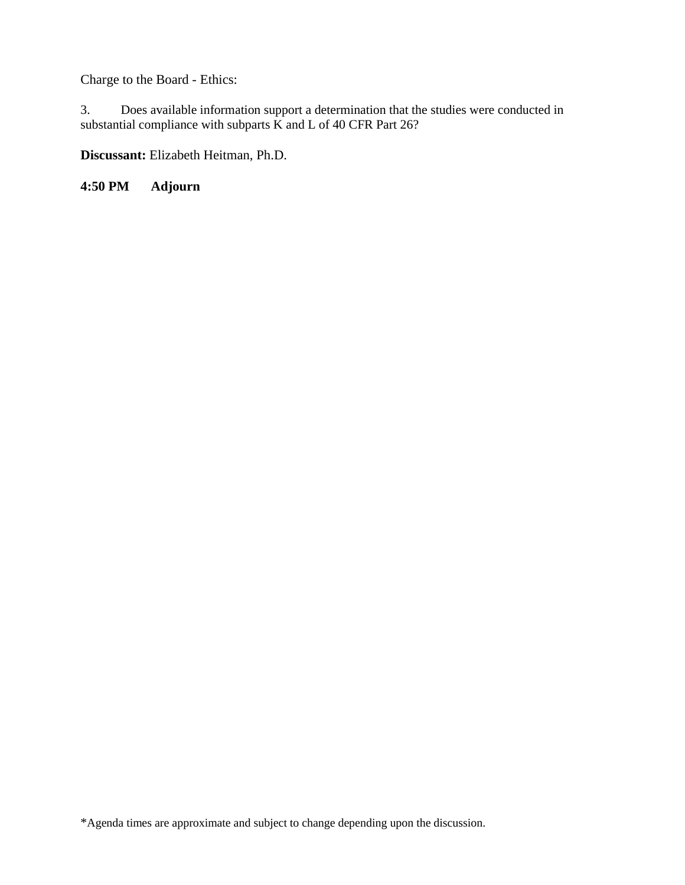Charge to the Board - Ethics:

3. Does available information support a determination that the studies were conducted in substantial compliance with subparts K and L of 40 CFR Part 26?

**Discussant:** Elizabeth Heitman, Ph.D.

**4:50 PM Adjourn**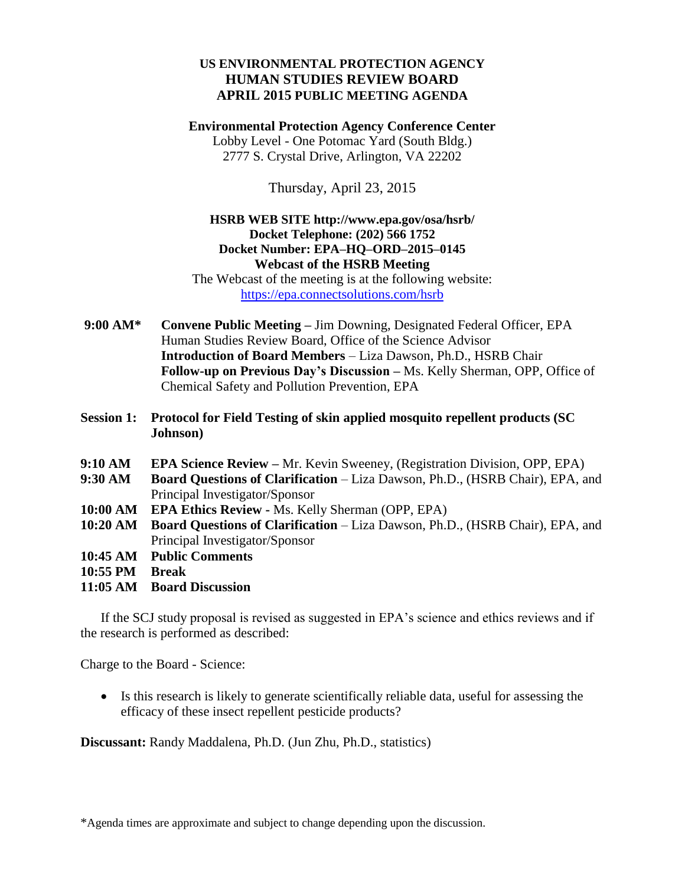## **US ENVIRONMENTAL PROTECTION AGENCY HUMAN STUDIES REVIEW BOARD APRIL 2015 PUBLIC MEETING AGENDA**

**Environmental Protection Agency Conference Center** Lobby Level - One Potomac Yard (South Bldg.) 2777 S. Crystal Drive, Arlington, VA 22202

Thursday, April 23, 2015

## **HSRB WEB SITE http://www.epa.gov/osa/hsrb/ Docket Telephone: (202) 566 1752 Docket Number: EPA–HQ–ORD–2015–0145 Webcast of the HSRB Meeting**

The Webcast of the meeting is at the following website: <https://epa.connectsolutions.com/hsrb>

- **9:00 AM\* Convene Public Meeting –** Jim Downing, Designated Federal Officer, EPA Human Studies Review Board, Office of the Science Advisor **Introduction of Board Members** – Liza Dawson, Ph.D., HSRB Chair **Follow-up on Previous Day's Discussion –** Ms. Kelly Sherman, OPP, Office of Chemical Safety and Pollution Prevention, EPA
- **Session 1: Protocol for Field Testing of skin applied mosquito repellent products (SC Johnson)**
- **9:10 AM EPA Science Review –** Mr. Kevin Sweeney, (Registration Division, OPP, EPA)
- **9:30 AM Board Questions of Clarification**  Liza Dawson, Ph.D., (HSRB Chair), EPA, and Principal Investigator/Sponsor
- **10:00 AM EPA Ethics Review -** Ms. Kelly Sherman (OPP, EPA)
- **10:20 AM Board Questions of Clarification**  Liza Dawson, Ph.D., (HSRB Chair), EPA, and Principal Investigator/Sponsor
- **10:45 AM Public Comments**
- **10:55 PM Break**
- **11:05 AM Board Discussion**

If the SCJ study proposal is revised as suggested in EPA's science and ethics reviews and if the research is performed as described:

Charge to the Board - Science:

 Is this research is likely to generate scientifically reliable data, useful for assessing the efficacy of these insect repellent pesticide products?

**Discussant:** Randy Maddalena, Ph.D. (Jun Zhu, Ph.D., statistics)